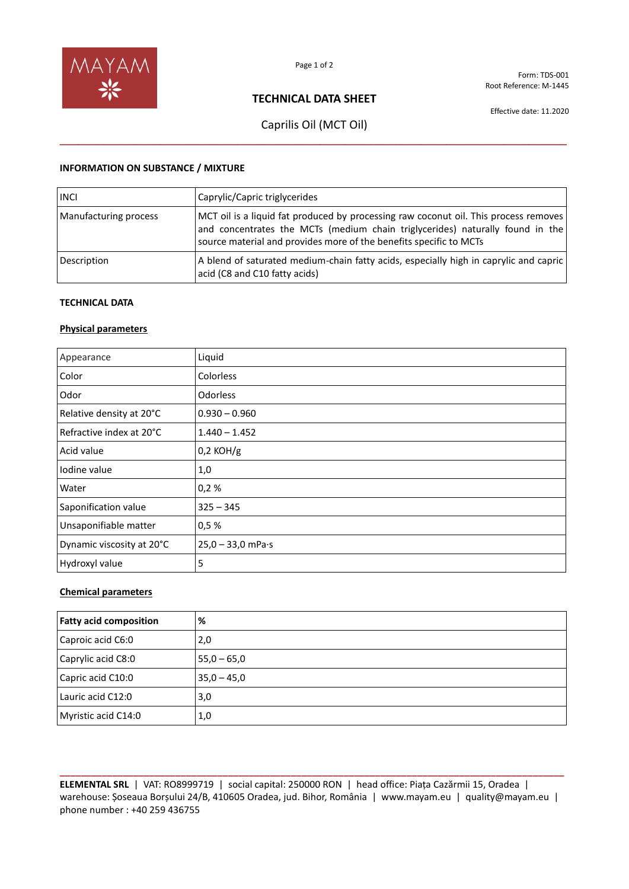

Form: TDS-001 Root Reference: M-1445

## **TECHNICAL DATA SHEET**

Effective date: 11.2020

# Caprilis Oil (MCT Oil) **\_\_\_\_\_\_\_\_\_\_\_\_\_\_\_\_\_\_\_\_\_\_\_\_\_\_\_\_\_\_\_\_\_\_\_\_\_\_\_\_\_\_\_\_\_\_\_\_\_\_\_\_\_\_\_\_\_\_\_\_\_\_\_\_\_\_\_\_\_\_\_\_\_\_\_\_\_\_\_\_**

### **INFORMATION ON SUBSTANCE / MIXTURE**

| <b>INCI</b>           | Caprylic/Capric triglycerides                                                                                                                                                                                                               |
|-----------------------|---------------------------------------------------------------------------------------------------------------------------------------------------------------------------------------------------------------------------------------------|
| Manufacturing process | MCT oil is a liquid fat produced by processing raw coconut oil. This process removes<br>and concentrates the MCTs (medium chain triglycerides) naturally found in the<br>source material and provides more of the benefits specific to MCTs |
| Description           | A blend of saturated medium-chain fatty acids, especially high in caprylic and capric<br>acid (C8 and C10 fatty acids)                                                                                                                      |

### **TECHNICAL DATA**

### **Physical parameters**

| Appearance                | Liquid                      |
|---------------------------|-----------------------------|
| Color                     | Colorless                   |
| Odor                      | <b>Odorless</b>             |
| Relative density at 20°C  | $0.930 - 0.960$             |
| Refractive index at 20°C  | $1.440 - 1.452$             |
| Acid value                | $0,2$ KOH/g                 |
| Iodine value              | 1,0                         |
| Water                     | 0,2%                        |
| Saponification value      | $325 - 345$                 |
| Unsaponifiable matter     | 0,5%                        |
| Dynamic viscosity at 20°C | $25,0 - 33,0$ mPa $\cdot$ s |
| Hydroxyl value            | 5                           |

### **Chemical parameters**

| <b>Fatty acid composition</b> | %             |
|-------------------------------|---------------|
| Caproic acid C6:0             | 2,0           |
| Caprylic acid C8:0            | $55,0 - 65,0$ |
| Capric acid C10:0             | $35,0 - 45,0$ |
| Lauric acid C12:0             | 3,0           |
| Myristic acid C14:0           | 1,0           |

**\_\_\_\_\_\_\_\_\_\_\_\_\_\_\_\_\_\_\_\_\_\_\_\_\_\_\_\_\_\_\_\_\_\_\_\_\_\_\_\_\_\_\_\_\_\_\_\_\_\_\_\_\_\_\_\_\_\_\_\_\_\_\_\_\_\_\_\_\_\_\_\_\_\_\_\_\_\_\_\_\_\_\_\_\_\_\_\_\_\_\_\_\_\_\_\_ ELEMENTAL SRL** | VAT: RO8999719 | social capital: 250000 RON | head office: Piața Cazărmii 15, Oradea | warehouse: Șoseaua Borșului 24/B, 410605 Oradea, jud. Bihor, România | www.mayam.eu | quality@mayam.eu | phone number : +40 259 436755